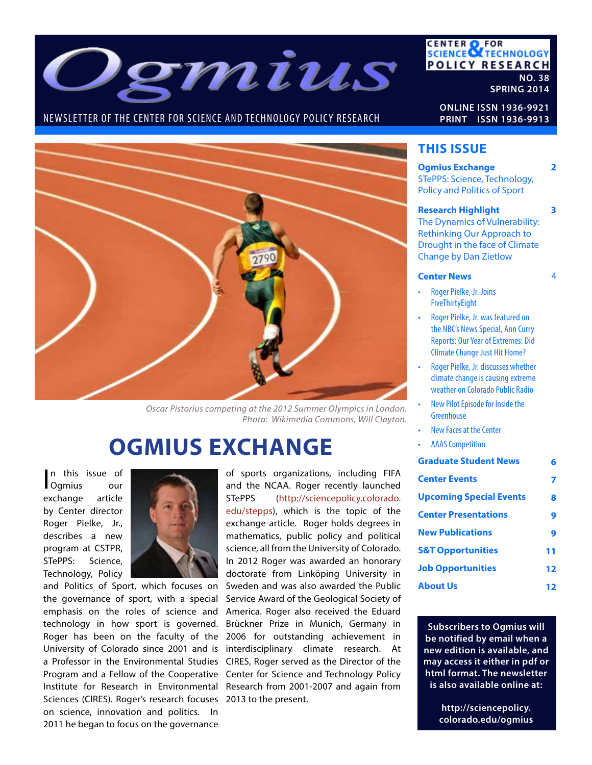

### NEWSLETTER OF THE CENTER FOR SCIENCE AND TECHNOLOGY POLICY RESEARCH

### **CENTER OF FOR<br>SCIENCE OF TECHNOLOGY POLICY RESEARCH NO. 38**

**SPRING 2014**

**2**

**3**

 $\overline{A}$ 

**ONLINE ISSN 1936-9921 PRINT ISSN 1936-9913**



*Oscar Pistorius competing at the 2012 Summer Olympics in London. Photo: Wikimedia Commons, Will Clayton.*

# **OGMIUS EXCHANGE**

n this issue of<br>Ogmius our n this issue of exchange article by Center director Roger Pielke, Jr., describes a new program at CSTPR, STePPS: Science, Technology, Policy



Sciences (CIRES). Roger's research focuses 2013 to the present. and Politics of Sport, which focuses on the governance of sport, with a special emphasis on the roles of science and technology in how sport is governed. Roger has been on the faculty of the University of Colorado since 2001 and is a Professor in the Environmental Studies Program and a Fellow of the Cooperative Institute for Research in Environmental on science, innovation and politics. In 2011 he began to focus on the governance

of sports organizations, including FIFA and the NCAA. Roger recently launched STePPS (http://sciencepolicy.colorado. edu/stepps), which is the topic of the exchange article. Roger holds degrees in mathematics, public policy and political science, all from the University of Colorado. In 2012 Roger was awarded an honorary doctorate from Linköping University in Sweden and was also awarded the Public Service Award of the Geological Society of America. Roger also received the Eduard Brückner Prize in Munich, Germany in 2006 for outstanding achievement in interdisciplinary climate research. At CIRES, Roger served as the Director of the Center for Science and Technology Policy Research from 2001-2007 and again from

### **THIS ISSUE**

### **Ogmius Exchange** STePPS: Science, Technology, Policy and Politics of Sport

#### **Research Highlight**

The Dynamics of Vulnerability: Rethinking Our Approach to Drought in the face of Climate Change by Dan Zietlow

#### **Center News**

- Roger Pielke, Jr. Joins FiveThirtyEight
- Roger Pielke, Jr. was featured on the NBC's News Special, Ann Curry Reports: Our Year of Extremes: Did Climate Change Just Hit Home?
- Roger Pielke, Jr. discusses whether climate change is causing extreme weather on Colorado Public Radio
- New Pilot Episode for Inside the **Greenhouse**
- **New Faces at the Center**
- **AAAS Competition**

| <b>Graduate Student News</b>   | б  |
|--------------------------------|----|
| <b>Center Events</b>           |    |
| <b>Upcoming Special Events</b> | 8  |
| <b>Center Presentations</b>    | 9  |
| <b>New Publications</b>        | 9  |
| <b>S&amp;T Opportunities</b>   | 11 |
| <b>Job Opportunities</b>       | 12 |
| <b>About Us</b>                |    |

**Subscribers to Ogmius will be notified by email when a new edition is available, and may access it either in pdf or html format. The newsletter is also available online at:**

> **http://sciencepolicy. colorado.edu/ogmius**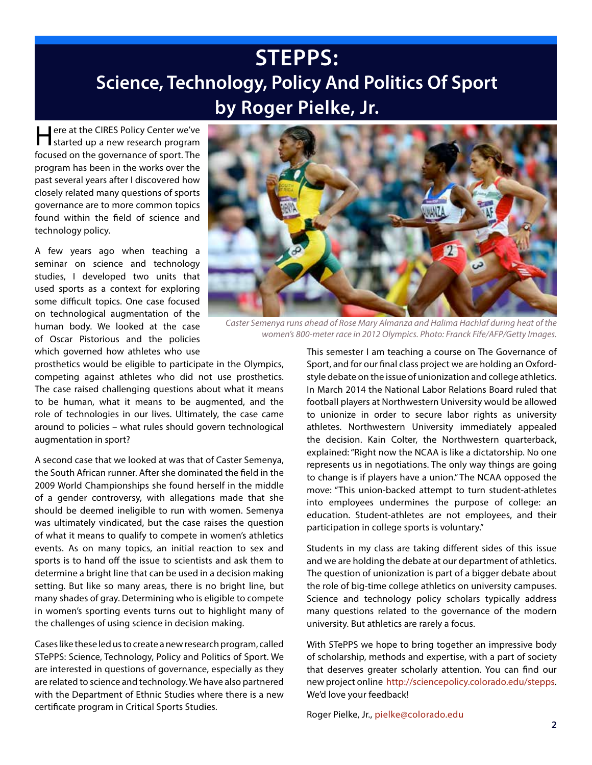# **STEPPS: Science, Technology, Policy And Politics Of Sport by Roger Pielke, Jr.**

Here at the CIRES Policy Center we've started up a new research program focused on the governance of sport. The program has been in the works over the past several years after I discovered how closely related many questions of sports governance are to more common topics found within the field of science and technology policy.

A few years ago when teaching a seminar on science and technology studies, I developed two units that used sports as a context for exploring some difficult topics. One case focused on technological augmentation of the human body. We looked at the case of Oscar Pistorious and the policies which governed how athletes who use

prosthetics would be eligible to participate in the Olympics, competing against athletes who did not use prosthetics. The case raised challenging questions about what it means to be human, what it means to be augmented, and the role of technologies in our lives. Ultimately, the case came around to policies – what rules should govern technological augmentation in sport?

A second case that we looked at was that of Caster Semenya, the South African runner. After she dominated the field in the 2009 World Championships she found herself in the middle of a gender controversy, with allegations made that she should be deemed ineligible to run with women. Semenya was ultimately vindicated, but the case raises the question of what it means to qualify to compete in women's athletics events. As on many topics, an initial reaction to sex and sports is to hand off the issue to scientists and ask them to determine a bright line that can be used in a decision making setting. But like so many areas, there is no bright line, but many shades of gray. Determining who is eligible to compete in women's sporting events turns out to highlight many of the challenges of using science in decision making.

Cases like these led us to create a new research program, called STePPS: Science, Technology, Policy and Politics of Sport. We are interested in questions of governance, especially as they are related to science and technology. We have also partnered with the Department of Ethnic Studies where there is a new certificate program in Critical Sports Studies.



*Caster Semenya runs ahead of Rose Mary Almanza and Halima Hachlaf during heat of the women's 800-meter race in 2012 Olympics. Photo: Franck Fife/AFP/Getty Images.*

This semester I am teaching a course on The Governance of Sport, and for our final class project we are holding an Oxfordstyle debate on the issue of unionization and college athletics. In March 2014 the National Labor Relations Board ruled that football players at Northwestern University would be allowed to unionize in order to secure labor rights as university athletes. Northwestern University immediately appealed the decision. Kain Colter, the Northwestern quarterback, explained: "Right now the NCAA is like a dictatorship. No one represents us in negotiations. The only way things are going to change is if players have a union." The NCAA opposed the move: "This union-backed attempt to turn student-athletes into employees undermines the purpose of college: an education. Student-athletes are not employees, and their participation in college sports is voluntary."

Students in my class are taking different sides of this issue and we are holding the debate at our department of athletics. The question of unionization is part of a bigger debate about the role of big-time college athletics on university campuses. Science and technology policy scholars typically address many questions related to the governance of the modern university. But athletics are rarely a focus.

With STePPS we hope to bring together an impressive body of scholarship, methods and expertise, with a part of society that deserves greater scholarly attention. You can find our new project online http://sciencepolicy.colorado.edu/stepps. We'd love your feedback!

Roger Pielke, Jr., pielke@colorado.edu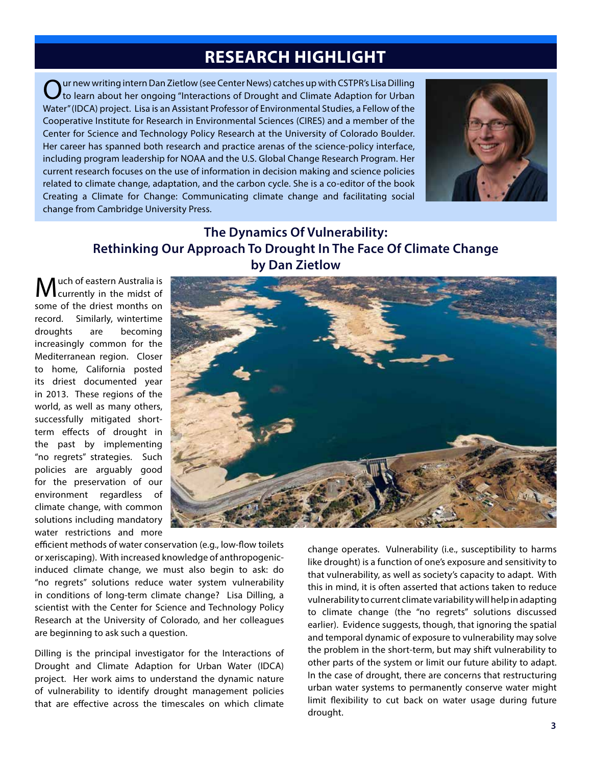### **RESEARCH HIGHLIGHT**

 $Q$ ur new writing intern Dan Zietlow (see Center News) catches up with CSTPR's Lisa Dilling<br>to learn about her ongoing "Interactions of Drought and Climate Adaption for Urban Water" (IDCA) project. Lisa is an Assistant Professor of Environmental Studies, a Fellow of the Cooperative Institute for Research in Environmental Sciences (CIRES) and a member of the Center for Science and Technology Policy Research at the University of Colorado Boulder. Her career has spanned both research and practice arenas of the science-policy interface, including program leadership for NOAA and the U.S. Global Change Research Program. Her current research focuses on the use of information in decision making and science policies related to climate change, adaptation, and the carbon cycle. She is a co-editor of the book Creating a Climate for Change: Communicating climate change and facilitating social change from Cambridge University Press.



**The Dynamics Of Vulnerability: Rethinking Our Approach To Drought In The Face Of Climate Change by Dan Zietlow**

uch of eastern Australia is currently in the midst of some of the driest months on record. Similarly, wintertime droughts are becoming increasingly common for the Mediterranean region. Closer to home, California posted its driest documented year in 2013. These regions of the world, as well as many others, successfully mitigated shortterm effects of drought in the past by implementing "no regrets" strategies. Such policies are arguably good for the preservation of our environment regardless of climate change, with common solutions including mandatory water restrictions and more



efficient methods of water conservation (e.g., low-flow toilets or xeriscaping). With increased knowledge of anthropogenicinduced climate change, we must also begin to ask: do "no regrets" solutions reduce water system vulnerability in conditions of long-term climate change? Lisa Dilling, a scientist with the Center for Science and Technology Policy Research at the University of Colorado, and her colleagues are beginning to ask such a question.

Dilling is the principal investigator for the Interactions of Drought and Climate Adaption for Urban Water (IDCA) project. Her work aims to understand the dynamic nature of vulnerability to identify drought management policies that are effective across the timescales on which climate

change operates. Vulnerability (i.e., susceptibility to harms like drought) is a function of one's exposure and sensitivity to that vulnerability, as well as society's capacity to adapt. With this in mind, it is often asserted that actions taken to reduce vulnerability to current climate variability will help in adapting to climate change (the "no regrets" solutions discussed earlier). Evidence suggests, though, that ignoring the spatial and temporal dynamic of exposure to vulnerability may solve the problem in the short-term, but may shift vulnerability to other parts of the system or limit our future ability to adapt. In the case of drought, there are concerns that restructuring urban water systems to permanently conserve water might limit flexibility to cut back on water usage during future drought.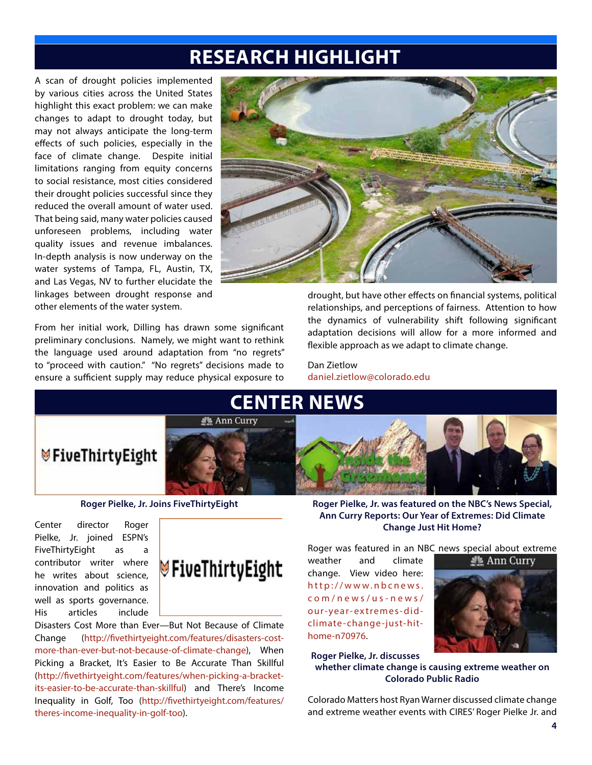## **RESEARCH HIGHLIGHT**

A scan of drought policies implemented by various cities across the United States highlight this exact problem: we can make changes to adapt to drought today, but may not always anticipate the long-term effects of such policies, especially in the face of climate change. Despite initial limitations ranging from equity concerns to social resistance, most cities considered their drought policies successful since they reduced the overall amount of water used. That being said, many water policies caused unforeseen problems, including water quality issues and revenue imbalances. In-depth analysis is now underway on the water systems of Tampa, FL, Austin, TX, and Las Vegas, NV to further elucidate the linkages between drought response and other elements of the water system.

From her initial work, Dilling has drawn some significant preliminary conclusions. Namely, we might want to rethink the language used around adaptation from "no regrets" to "proceed with caution." "No regrets" decisions made to ensure a sufficient supply may reduce physical exposure to



drought, but have other effects on financial systems, political relationships, and perceptions of fairness. Attention to how the dynamics of vulnerability shift following significant adaptation decisions will allow for a more informed and flexible approach as we adapt to climate change.

Dan Zietlow daniel.zietlow@colorado.edu



**Roger Pielke, Jr. Joins FiveThirtyEight**

Center director Roger Pielke, Jr. joined ESPN's FiveThirtyEight as a contributor writer where he writes about science, innovation and politics as well as sports governance. His articles include



Disasters Cost More than Ever—But Not Because of Climate Change (http://fivethirtyeight.com/features/disasters-costmore-than-ever-but-not-because-of-climate-change), When Picking a Bracket, It's Easier to Be Accurate Than Skillful (http://fivethirtyeight.com/features/when-picking-a-bracketits-easier-to-be-accurate-than-skillful) and There's Income Inequality in Golf, Too (http://fivethirtyeight.com/features/ theres-income-inequality-in-golf-too).

**Roger Pielke, Jr. was featured on the NBC's News Special, Ann Curry Reports: Our Year of Extremes: Did Climate Change Just Hit Home?**

Roger was featured in an NBC news special about extreme

weather and climate change. View video here: http://www.nbcnews. com/news/us-news/ our-year-extremes-didclimate-change-just-hithome-n70976.



**Roger Pielke, Jr. discusses whether climate change is causing extreme weather on Colorado Public Radio**

Colorado Matters host Ryan Warner discussed climate change and extreme weather events with CIRES' Roger Pielke Jr. and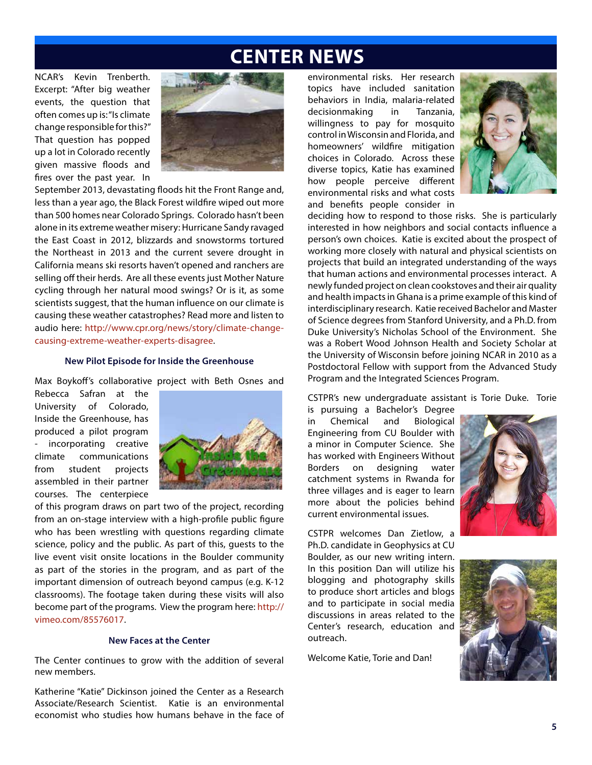### **CENTER NEWS**

NCAR's Kevin Trenberth. Excerpt: "After big weather events, the question that often comes up is: "Is climate change responsible for this?" That question has popped up a lot in Colorado recently given massive floods and fires over the past year. In



September 2013, devastating floods hit the Front Range and, less than a year ago, the Black Forest wildfire wiped out more than 500 homes near Colorado Springs. Colorado hasn't been alone in its extreme weather misery: Hurricane Sandy ravaged the East Coast in 2012, blizzards and snowstorms tortured the Northeast in 2013 and the current severe drought in California means ski resorts haven't opened and ranchers are selling off their herds. Are all these events just Mother Nature cycling through her natural mood swings? Or is it, as some scientists suggest, that the human influence on our climate is causing these weather catastrophes? Read more and listen to audio here: http://www.cpr.org/news/story/climate-changecausing-extreme-weather-experts-disagree.

#### **New Pilot Episode for Inside the Greenhouse**

Max Boykoff's collaborative project with Beth Osnes and

Rebecca Safran at the University of Colorado, Inside the Greenhouse, has produced a pilot program incorporating creative climate communications from student projects assembled in their partner courses. The centerpiece



of this program draws on part two of the project, recording from an on-stage interview with a high-profile public figure who has been wrestling with questions regarding climate science, policy and the public. As part of this, guests to the live event visit onsite locations in the Boulder community as part of the stories in the program, and as part of the important dimension of outreach beyond campus (e.g. K-12 classrooms). The footage taken during these visits will also become part of the programs. View the program here: http:// vimeo.com/85576017.

### **New Faces at the Center**

The Center continues to grow with the addition of several new members.

Katherine "Katie" Dickinson joined the Center as a Research Associate/Research Scientist. Katie is an environmental economist who studies how humans behave in the face of

environmental risks. Her research topics have included sanitation behaviors in India, malaria-related decisionmaking in Tanzania, willingness to pay for mosquito control in Wisconsin and Florida, and homeowners' wildfire mitigation choices in Colorado. Across these diverse topics, Katie has examined how people perceive different environmental risks and what costs and benefits people consider in



deciding how to respond to those risks. She is particularly interested in how neighbors and social contacts influence a person's own choices. Katie is excited about the prospect of working more closely with natural and physical scientists on projects that build an integrated understanding of the ways that human actions and environmental processes interact. A newly funded project on clean cookstoves and their air quality and health impacts in Ghana is a prime example of this kind of interdisciplinary research. Katie received Bachelor and Master of Science degrees from Stanford University, and a Ph.D. from Duke University's Nicholas School of the Environment. She was a Robert Wood Johnson Health and Society Scholar at the University of Wisconsin before joining NCAR in 2010 as a Postdoctoral Fellow with support from the Advanced Study Program and the Integrated Sciences Program.

CSTPR's new undergraduate assistant is Torie Duke. Torie is pursuing a Bachelor's Degree

in Chemical and Biological Engineering from CU Boulder with a minor in Computer Science. She has worked with Engineers Without Borders on designing water catchment systems in Rwanda for three villages and is eager to learn more about the policies behind current environmental issues.



CSTPR welcomes Dan Zietlow, a Ph.D. candidate in Geophysics at CU Boulder, as our new writing intern. In this position Dan will utilize his blogging and photography skills to produce short articles and blogs and to participate in social media discussions in areas related to the Center's research, education and outreach.

Welcome Katie, Torie and Dan!

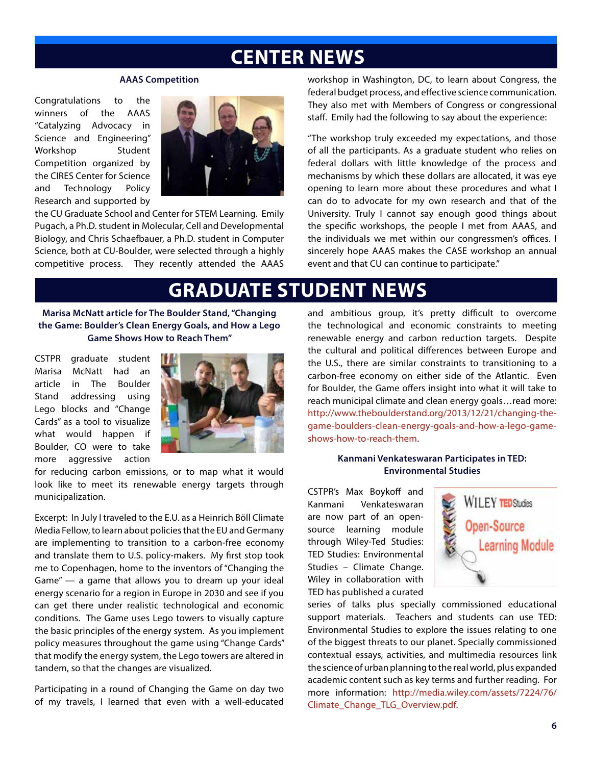## **CENTER NEWS**

#### **AAAS Competition**

Congratulations to the winners of the AAAS "Catalyzing Advocacy in Science and Engineering" Workshop Student Competition organized by the CIRES Center for Science and Technology Policy Research and supported by



the CU Graduate School and Center for STEM Learning. Emily Pugach, a Ph.D. student in Molecular, Cell and Developmental Biology, and Chris Schaefbauer, a Ph.D. student in Computer Science, both at CU-Boulder, were selected through a highly competitive process. They recently attended the AAAS

workshop in Washington, DC, to learn about Congress, the federal budget process, and effective science communication. They also met with Members of Congress or congressional staff. Emily had the following to say about the experience:

"The workshop truly exceeded my expectations, and those of all the participants. As a graduate student who relies on federal dollars with little knowledge of the process and mechanisms by which these dollars are allocated, it was eye opening to learn more about these procedures and what I can do to advocate for my own research and that of the University. Truly I cannot say enough good things about the specific workshops, the people I met from AAAS, and the individuals we met within our congressmen's offices. I sincerely hope AAAS makes the CASE workshop an annual event and that CU can continue to participate."

### **GRADUATE STUDENT NEWS**

**Marisa McNatt article for The Boulder Stand, "Changing the Game: Boulder's Clean Energy Goals, and How a Lego Game Shows How to Reach Them"**

CSTPR graduate student Marisa McNatt had an article in The Boulder Stand addressing using Lego blocks and "Change Cards" as a tool to visualize what would happen if Boulder, CO were to take more aggressive action



for reducing carbon emissions, or to map what it would look like to meet its renewable energy targets through municipalization.

Excerpt: In July I traveled to the E.U. as a Heinrich Böll Climate Media Fellow, to learn about policies that the EU and Germany are implementing to transition to a carbon-free economy and translate them to U.S. policy-makers. My first stop took me to Copenhagen, home to the inventors of "Changing the Game" — a game that allows you to dream up your ideal energy scenario for a region in Europe in 2030 and see if you can get there under realistic technological and economic conditions. The Game uses Lego towers to visually capture the basic principles of the energy system. As you implement policy measures throughout the game using "Change Cards" that modify the energy system, the Lego towers are altered in tandem, so that the changes are visualized.

Participating in a round of Changing the Game on day two of my travels, I learned that even with a well-educated and ambitious group, it's pretty difficult to overcome the technological and economic constraints to meeting renewable energy and carbon reduction targets. Despite the cultural and political differences between Europe and the U.S., there are similar constraints to transitioning to a carbon-free economy on either side of the Atlantic. Even for Boulder, the Game offers insight into what it will take to reach municipal climate and clean energy goals…read more: http://www.theboulderstand.org/2013/12/21/changing-thegame-boulders-clean-energy-goals-and-how-a-lego-gameshows-how-to-reach-them.

### **Kanmani Venkateswaran Participates in TED: Environmental Studies**

CSTPR's Max Boykoff and Kanmani Venkateswaran are now part of an opensource learning module through Wiley-Ted Studies: TED Studies: Environmental Studies – Climate Change. Wiley in collaboration with TED has published a curated



series of talks plus specially commissioned educational support materials. Teachers and students can use TED: Environmental Studies to explore the issues relating to one of the biggest threats to our planet. Specially commissioned contextual essays, activities, and multimedia resources link the science of urban planning to the real world, plus expanded academic content such as key terms and further reading. For more information: http://media.wiley.com/assets/7224/76/ Climate\_Change\_TLG\_Overview.pdf.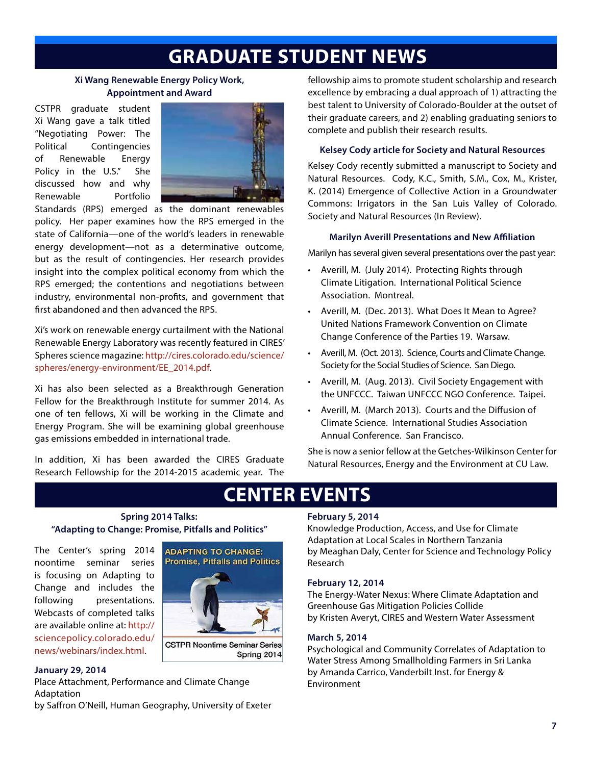## **GRADUATE STUDENT NEWS**

### **Xi Wang Renewable Energy Policy Work, Appointment and Award**

CSTPR graduate student Xi Wang gave a talk titled "Negotiating Power: The Political Contingencies of Renewable Energy Policy in the U.S." She discussed how and why Renewable Portfolio



Standards (RPS) emerged as the dominant renewables policy. Her paper examines how the RPS emerged in the state of California—one of the world's leaders in renewable energy development—not as a determinative outcome, but as the result of contingencies. Her research provides insight into the complex political economy from which the RPS emerged; the contentions and negotiations between industry, environmental non-profits, and government that first abandoned and then advanced the RPS.

Xi's work on renewable energy curtailment with the National Renewable Energy Laboratory was recently featured in CIRES' Spheres science magazine: http://cires.colorado.edu/science/ spheres/energy-environment/EE\_2014.pdf.

Xi has also been selected as a Breakthrough Generation Fellow for the Breakthrough Institute for summer 2014. As one of ten fellows, Xi will be working in the Climate and Energy Program. She will be examining global greenhouse gas emissions embedded in international trade.

In addition, Xi has been awarded the CIRES Graduate Research Fellowship for the 2014-2015 academic year. The

fellowship aims to promote student scholarship and research excellence by embracing a dual approach of 1) attracting the best talent to University of Colorado-Boulder at the outset of their graduate careers, and 2) enabling graduating seniors to complete and publish their research results.

### **Kelsey Cody article for Society and Natural Resources**

Kelsey Cody recently submitted a manuscript to Society and Natural Resources. Cody, K.C., Smith, S.M., Cox, M., Krister, K. (2014) Emergence of Collective Action in a Groundwater Commons: Irrigators in the San Luis Valley of Colorado. Society and Natural Resources (In Review).

### **Marilyn Averill Presentations and New Affiliation**

Marilyn has several given several presentations over the past year:

- • Averill, M. (July 2014). Protecting Rights through Climate Litigation. International Political Science Association. Montreal.
- • Averill, M. (Dec. 2013). What Does It Mean to Agree? United Nations Framework Convention on Climate Change Conference of the Parties 19. Warsaw.
- • Averill, M. (Oct. 2013). Science, Courts and Climate Change. Society for the Social Studies of Science. San Diego.
- • Averill, M. (Aug. 2013). Civil Society Engagement with the UNFCCC. Taiwan UNFCCC NGO Conference. Taipei.
- • Averill, M. (March 2013). Courts and the Diffusion of Climate Science. International Studies Association Annual Conference. San Francisco.

She is now a senior fellow at the Getches-Wilkinson Center for Natural Resources, Energy and the Environment at CU Law.

# **CENTER EVENTS**

### **Spring 2014 Talks: "Adapting to Change: Promise, Pitfalls and Politics"**

The Center's spring 2014 noontime seminar series is focusing on Adapting to Change and includes the following presentations. Webcasts of completed talks are available online at: http:// sciencepolicy.colorado.edu/ news/webinars/index.html.



**CSTPR Noontime Seminar Series** Spring 2014

### **January 29, 2014**

Place Attachment, Performance and Climate Change Adaptation

by Saffron O'Neill, Human Geography, University of Exeter

### **February 5, 2014**

Knowledge Production, Access, and Use for Climate Adaptation at Local Scales in Northern Tanzania by Meaghan Daly, Center for Science and Technology Policy Research

### **February 12, 2014**

The Energy-Water Nexus: Where Climate Adaptation and Greenhouse Gas Mitigation Policies Collide by Kristen Averyt, CIRES and Western Water Assessment

### **March 5, 2014**

Psychological and Community Correlates of Adaptation to Water Stress Among Smallholding Farmers in Sri Lanka by Amanda Carrico, Vanderbilt Inst. for Energy & Environment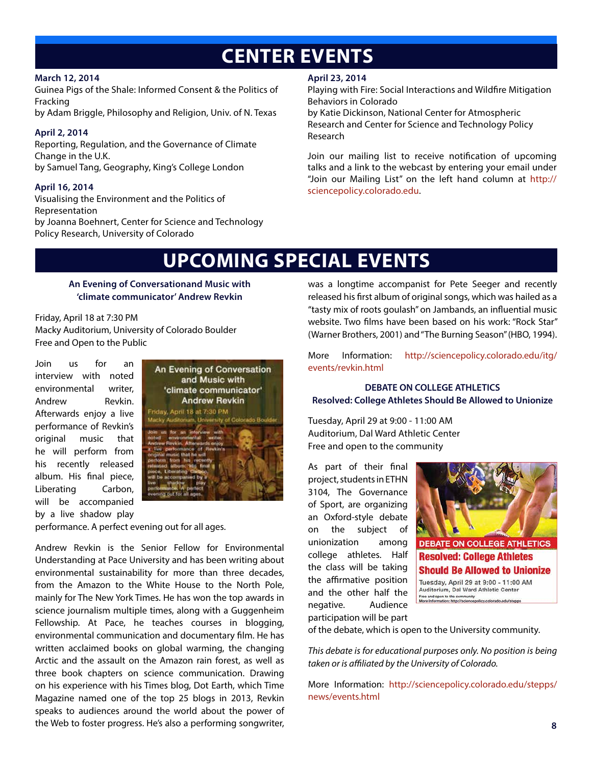## **CENTER EVENTS**

### **March 12, 2014**

Guinea Pigs of the Shale: Informed Consent & the Politics of Fracking

by Adam Briggle, Philosophy and Religion, Univ. of N. Texas

### **April 2, 2014**

Reporting, Regulation, and the Governance of Climate Change in the U.K. by Samuel Tang, Geography, King's College London

### **April 16, 2014**

Visualising the Environment and the Politics of Representation by Joanna Boehnert, Center for Science and Technology Policy Research, University of Colorado

### **April 23, 2014**

Playing with Fire: Social Interactions and Wildfire Mitigation Behaviors in Colorado

by Katie Dickinson, National Center for Atmospheric Research and Center for Science and Technology Policy Research

Join our mailing list to receive notification of upcoming talks and a link to the webcast by entering your email under "Join our Mailing List" on the left hand column at http:// sciencepolicy.colorado.edu.

## **UPCOMING SPECIAL EVENTS**

### **An Evening of Conversationand Music with 'climate communicator' Andrew Revkin**

### Friday, April 18 at 7:30 PM

Macky Auditorium, University of Colorado Boulder Free and Open to the Public

Join us for an interview with noted environmental writer, Andrew Revkin. Afterwards enjoy a live performance of Revkin's original music that he will perform from his recently released album. His final piece, Liberating Carbon, will be accompanied by a live shadow play



performance. A perfect evening out for all ages.

Andrew Revkin is the Senior Fellow for Environmental Understanding at Pace University and has been writing about environmental sustainability for more than three decades, from the Amazon to the White House to the North Pole, mainly for The New York Times. He has won the top awards in science journalism multiple times, along with a Guggenheim Fellowship. At Pace, he teaches courses in blogging, environmental communication and documentary film. He has written acclaimed books on global warming, the changing Arctic and the assault on the Amazon rain forest, as well as three book chapters on science communication. Drawing on his experience with his Times blog, Dot Earth, which Time Magazine named one of the top 25 blogs in 2013, Revkin speaks to audiences around the world about the power of the Web to foster progress. He's also a performing songwriter, was a longtime accompanist for Pete Seeger and recently released his first album of original songs, which was hailed as a "tasty mix of roots goulash" on Jambands, an influential music website. Two films have been based on his work: "Rock Star" (Warner Brothers, 2001) and "The Burning Season" (HBO, 1994).

More Information: http://sciencepolicy.colorado.edu/itg/ events/revkin.html

### **DEBATE ON COLLEGE ATHLETICS Resolved: College Athletes Should Be Allowed to Unionize**

Tuesday, April 29 at 9:00 - 11:00 AM Auditorium, Dal Ward Athletic Center Free and open to the community

As part of their final project, students in ETHN 3104, The Governance of Sport, are organizing an Oxford-style debate on the subject of unionization among college athletes. Half the class will be taking the affirmative position and the other half the negative. Audience participation will be part



**DEBATE ON COLLEGE ATHLETICS Resolved: College Athletes Should Be Allowed to Unionize** Tuesday, April 29 at 9:00 - 11:00 AM

Auditorium, Dal Ward Athletic Center Free and open to the community<br>More Information: http://sciencepolicy.colorado.edu/stepps

of the debate, which is open to the University community.

*This debate is for educational purposes only. No position is being taken or is affiliated by the University of Colorado.*

More Information: http://sciencepolicy.colorado.edu/stepps/ news/events.html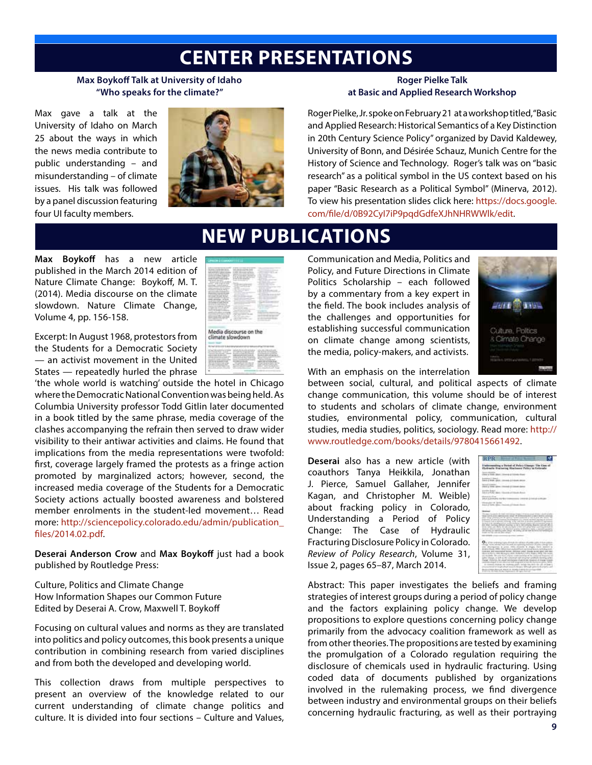### **CENTER PRESENTATIONS**

**NEW PUBLICATIONS**

### **Max Boykoff Talk at University of Idaho "Who speaks for the climate?"**

Max gave a talk at the University of Idaho on March 25 about the ways in which the news media contribute to public understanding – and misunderstanding – of climate issues. His talk was followed by a panel discussion featuring four UI faculty members.



### **Roger Pielke Talk at Basic and Applied Research Workshop**

Roger Pielke, Jr. spoke on February 21 at a workshop titled, "Basic and Applied Research: Historical Semantics of a Key Distinction in 20th Century Science Policy" organized by David Kaldewey, University of Bonn, and Désirée Schauz, Munich Centre for the History of Science and Technology. Roger's talk was on "basic research" as a political symbol in the US context based on his paper "Basic Research as a Political Symbol" (Minerva, 2012). To view his presentation slides click here: https://docs.google. com/file/d/0B92CyI7iP9pqdGdfeXJhNHRWWlk/edit.

### **Max Boykoff** has a new article published in the March 2014 edition of Nature Climate Change: Boykoff, M. T. (2014). Media discourse on the climate slowdown. Nature Climate Change, Volume 4, pp. 156-158.

Excerpt: In August 1968, protestors from the Students for a Democratic Society — an activist movement in the United States — repeatedly hurled the phrase

'the whole world is watching' outside the hotel in Chicago where the Democratic National Convention was being held. As Columbia University professor Todd Gitlin later documented in a book titled by the same phrase, media coverage of the clashes accompanying the refrain then served to draw wider visibility to their antiwar activities and claims. He found that implications from the media representations were twofold: first, coverage largely framed the protests as a fringe action promoted by marginalized actors; however, second, the increased media coverage of the Students for a Democratic Society actions actually boosted awareness and bolstered member enrolments in the student-led movement… Read more: http://sciencepolicy.colorado.edu/admin/publication\_ files/2014.02.pdf.

**Deserai Anderson Crow** and **Max Boykoff** just had a book published by Routledge Press:

Culture, Politics and Climate Change How Information Shapes our Common Future Edited by Deserai A. Crow, Maxwell T. Boykoff

Focusing on cultural values and norms as they are translated into politics and policy outcomes, this book presents a unique contribution in combining research from varied disciplines and from both the developed and developing world.

This collection draws from multiple perspectives to present an overview of the knowledge related to our current understanding of climate change politics and culture. It is divided into four sections – Culture and Values,

|               |                  | ÷                       |        |
|---------------|------------------|-------------------------|--------|
| w.            |                  | ---<br>t<br>m<br>╾<br>٠ |        |
| 2.0.0.0       |                  | ٠                       | $\sim$ |
| --<br>٠       |                  | <b>CONTRACTOR</b>       | . .    |
| <b>ATTACK</b> | $\sim$<br>÷<br>÷ |                         |        |
| Ŧ<br>$\sim$   | $\sim$           |                         |        |

climate slowdown

Communication and Media, Politics and Policy, and Future Directions in Climate Politics Scholarship – each followed by a commentary from a key expert in the field. The book includes analysis of the challenges and opportunities for establishing successful communication on climate change among scientists, the media, policy-makers, and activists.



With an emphasis on the interrelation

between social, cultural, and political aspects of climate change communication, this volume should be of interest to students and scholars of climate change, environment studies, environmental policy, communication, cultural studies, media studies, politics, sociology. Read more: http:// www.routledge.com/books/details/9780415661492.

**Deserai** also has a new article (with coauthors Tanya Heikkila, Jonathan J. Pierce, Samuel Gallaher, Jennifer Kagan, and Christopher M. Weible) about fracking policy in Colorado, Understanding a Period of Policy Change: The Case of Hydraulic Fracturing Disclosure Policy in Colorado. *Review of Policy Research*, Volume 31, Issue 2, pages 65–87, March 2014.



Abstract: This paper investigates the beliefs and framing strategies of interest groups during a period of policy change and the factors explaining policy change. We develop propositions to explore questions concerning policy change primarily from the advocacy coalition framework as well as from other theories. The propositions are tested by examining the promulgation of a Colorado regulation requiring the disclosure of chemicals used in hydraulic fracturing. Using coded data of documents published by organizations involved in the rulemaking process, we find divergence between industry and environmental groups on their beliefs concerning hydraulic fracturing, as well as their portraying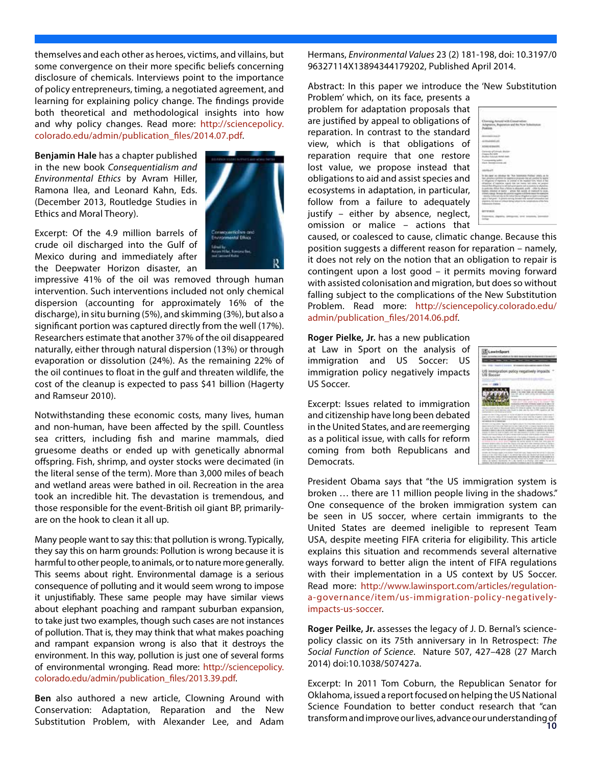themselves and each other as heroes, victims, and villains, but some convergence on their more specific beliefs concerning disclosure of chemicals. Interviews point to the importance of policy entrepreneurs, timing, a negotiated agreement, and learning for explaining policy change. The findings provide both theoretical and methodological insights into how and why policy changes. Read more: http://sciencepolicy. colorado.edu/admin/publication\_files/2014.07.pdf.

**Benjamin Hale** has a chapter published in the new book *Consequentialism and Environmental Ethics* by Avram Hiller, Ramona Ilea, and Leonard Kahn, Eds. (December 2013, Routledge Studies in Ethics and Moral Theory).

Excerpt: Of the 4.9 million barrels of crude oil discharged into the Gulf of Mexico during and immediately after the Deepwater Horizon disaster, an

impressive 41% of the oil was removed through human intervention. Such interventions included not only chemical dispersion (accounting for approximately 16% of the discharge), in situ burning (5%), and skimming (3%), but also a significant portion was captured directly from the well (17%). Researchers estimate that another 37% of the oil disappeared naturally, either through natural dispersion (13%) or through evaporation or dissolution (24%). As the remaining 22% of the oil continues to float in the gulf and threaten wildlife, the cost of the cleanup is expected to pass \$41 billion (Hagerty and Ramseur 2010).

Notwithstanding these economic costs, many lives, human and non-human, have been affected by the spill. Countless sea critters, including fish and marine mammals, died gruesome deaths or ended up with genetically abnormal offspring. Fish, shrimp, and oyster stocks were decimated (in the literal sense of the term). More than 3,000 miles of beach and wetland areas were bathed in oil. Recreation in the area took an incredible hit. The devastation is tremendous, and those responsible for the event-British oil giant BP, primarilyare on the hook to clean it all up.

Many people want to say this: that pollution is wrong. Typically, they say this on harm grounds: Pollution is wrong because it is harmful to other people, to animals, or to nature more generally. This seems about right. Environmental damage is a serious consequence of polluting and it would seem wrong to impose it unjustifiably. These same people may have similar views about elephant poaching and rampant suburban expansion, to take just two examples, though such cases are not instances of pollution. That is, they may think that what makes poaching and rampant expansion wrong is also that it destroys the environment. In this way, pollution is just one of several forms of environmental wronging. Read more: http://sciencepolicy. colorado.edu/admin/publication\_files/2013.39.pdf.

transform and improve our lives, advance our understanding of Substitution Problem, with Alexander Lee, and Adam **10Ben** also authored a new article, Clowning Around with Conservation: Adaptation, Reparation and the New

Hermans, *Environmental Values* 23 (2) 181-198, doi: 10.3197/0 96327114X13894344179202, Published April 2014.

Abstract: In this paper we introduce the 'New Substitution

Problem' which, on its face, presents a problem for adaptation proposals that are justified by appeal to obligations of reparation. In contrast to the standard view, which is that obligations of reparation require that one restore lost value, we propose instead that obligations to aid and assist species and ecosystems in adaptation, in particular, follow from a failure to adequately justify – either by absence, neglect, omission or malice – actions that



caused, or coalesced to cause, climatic change. Because this position suggests a different reason for reparation – namely, it does not rely on the notion that an obligation to repair is contingent upon a lost good – it permits moving forward with assisted colonisation and migration, but does so without falling subject to the complications of the New Substitution Problem. Read more: http://sciencepolicy.colorado.edu/ admin/publication\_files/2014.06.pdf.

**Roger Pielke, Jr.** has a new publication at Law in Sport on the analysis of immigration and US Soccer: US immigration policy negatively impacts US Soccer.

Excerpt: Issues related to immigration and citizenship have long been debated in the United States, and are reemerging as a political issue, with calls for reform coming from both Republicans and Democrats.



President Obama says that "the US immigration system is broken … there are 11 million people living in the shadows." One consequence of the broken immigration system can be seen in US soccer, where certain immigrants to the United States are deemed ineligible to represent Team USA, despite meeting FIFA criteria for eligibility. This article explains this situation and recommends several alternative ways forward to better align the intent of FIFA regulations with their implementation in a US context by US Soccer. Read more: http://www.lawinsport.com/articles/regulationa-governance/item/us-immigration-policy-negativelyimpacts-us-soccer.

**Roger Peilke, Jr.** assesses the legacy of J. D. Bernal's sciencepolicy classic on its 75th anniversary in In Retrospect: *The Social Function of Science*. Nature 507, 427–428 (27 March 2014) doi:10.1038/507427a.

Excerpt: In 2011 Tom Coburn, the Republican Senator for Oklahoma, issued a report focused on helping the US National Science Foundation to better conduct research that "can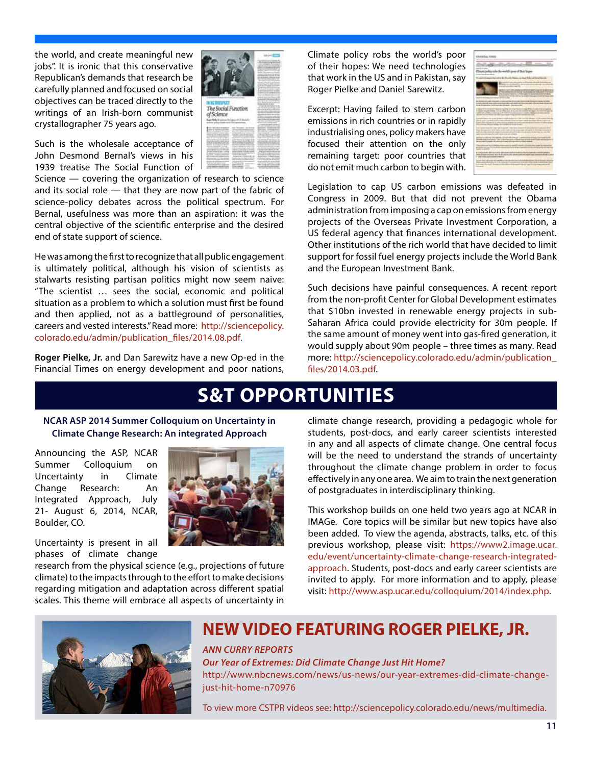the world, and create meaningful new jobs". It is ironic that this conservative Republican's demands that research be carefully planned and focused on social objectives can be traced directly to the writings of an Irish-born communist crystallographer 75 years ago.

Such is the wholesale acceptance of John Desmond Bernal's views in his 1939 treatise The Social Function of

Science — covering the organization of research to science and its social role — that they are now part of the fabric of science-policy debates across the political spectrum. For Bernal, usefulness was more than an aspiration: it was the central objective of the scientific enterprise and the desired end of state support of science.

He was among the first to recognize that all public engagement is ultimately political, although his vision of scientists as stalwarts resisting partisan politics might now seem naive: "The scientist … sees the social, economic and political situation as a problem to which a solution must first be found and then applied, not as a battleground of personalities, careers and vested interests." Read more: http://sciencepolicy. colorado.edu/admin/publication\_files/2014.08.pdf.

**Roger Pielke, Jr.** and Dan Sarewitz have a new Op-ed in the Financial Times on energy development and poor nations, Climate policy robs the world's poor of their hopes: We need technologies that work in the US and in Pakistan, say Roger Pielke and Daniel Sarewitz.

Excerpt: Having failed to stem carbon emissions in rich countries or in rapidly industrialising ones, policy makers have focused their attention on the only remaining target: poor countries that do not emit much carbon to begin with.



Legislation to cap US carbon emissions was defeated in Congress in 2009. But that did not prevent the Obama administration from imposing a cap on emissions from energy projects of the Overseas Private Investment Corporation, a US federal agency that finances international development. Other institutions of the rich world that have decided to limit support for fossil fuel energy projects include the World Bank and the European Investment Bank.

Such decisions have painful consequences. A recent report from the non-profit Center for Global Development estimates that \$10bn invested in renewable energy projects in sub-Saharan Africa could provide electricity for 30m people. If the same amount of money went into gas-fired generation, it would supply about 90m people – three times as many. Read more: http://sciencepolicy.colorado.edu/admin/publication\_ files/2014.03.pdf.

## **S&T OPPORTUNITIES**

### **NCAR ASP 2014 Summer Colloquium on Uncertainty in Climate Change Research: An integrated Approach**

Announcing the ASP, NCAR Summer Colloquium on Uncertainty in Climate Change Research: An Integrated Approach, July 21- August 6, 2014, NCAR, Boulder, CO.



The Social Function of Science

Uncertainty is present in all phases of climate change

research from the physical science (e.g., projections of future climate) to the impacts through to the effort to make decisions regarding mitigation and adaptation across different spatial scales. This theme will embrace all aspects of uncertainty in climate change research, providing a pedagogic whole for students, post-docs, and early career scientists interested in any and all aspects of climate change. One central focus will be the need to understand the strands of uncertainty throughout the climate change problem in order to focus effectively in any one area. We aim to train the next generation of postgraduates in interdisciplinary thinking.

This workshop builds on one held two years ago at NCAR in IMAGe. Core topics will be similar but new topics have also been added. To view the agenda, abstracts, talks, etc. of this previous workshop, please visit: https://www2.image.ucar. edu/event/uncertainty-climate-change-research-integratedapproach. Students, post-docs and early career scientists are invited to apply. For more information and to apply, please visit: http://www.asp.ucar.edu/colloquium/2014/index.php.



### **NEW VIDEO FEATURING ROGER PIELKE, JR.**

### *ANN CURRY REPORTS*

*Our Year of Extremes: Did Climate Change Just Hit Home?*  http://www.nbcnews.com/news/us-news/our-year-extremes-did-climate-changejust-hit-home-n70976

To view more CSTPR videos see: http://sciencepolicy.colorado.edu/news/multimedia.